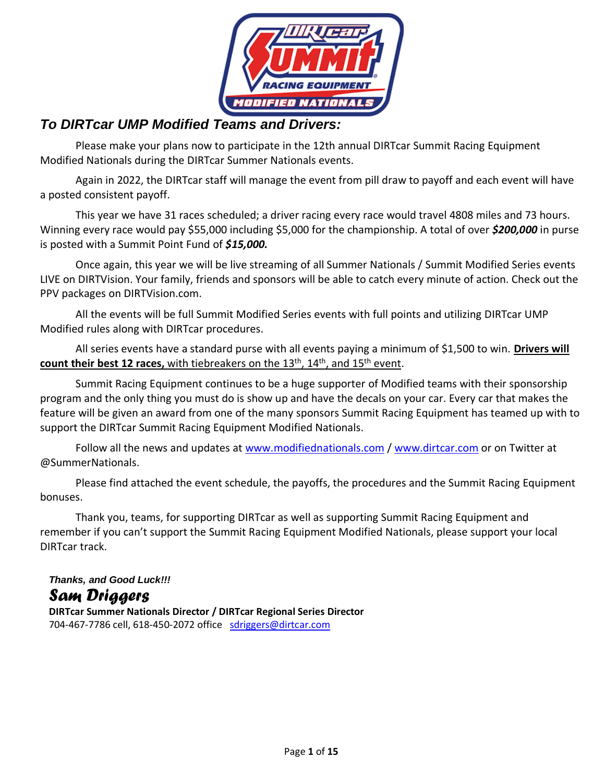

## *To DIRTcar UMP Modified Teams and Drivers:*

Please make your plans now to participate in the 12th annual DIRTcar Summit Racing Equipment Modified Nationals during the DIRTcar Summer Nationals events.

Again in 2022, the DIRTcar staff will manage the event from pill draw to payoff and each event will have a posted consistent payoff.

This year we have 31 races scheduled; a driver racing every race would travel 4808 miles and 73 hours. Winning every race would pay \$55,000 including \$5,000 for the championship. A total of over *\$200,000* in purse is posted with a Summit Point Fund of *\$15,000.*

Once again, this year we will be live streaming of all Summer Nationals / Summit Modified Series events LIVE on DIRTVision. Your family, friends and sponsors will be able to catch every minute of action. Check out the PPV packages on DIRTVision.com.

All the events will be full Summit Modified Series events with full points and utilizing DIRTcar UMP Modified rules along with DIRTcar procedures.

All series events have a standard purse with all events paying a minimum of \$1,500 to win. **Drivers will** count their best 12 races, with tiebreakers on the 13<sup>th</sup>, 14<sup>th</sup>, and 15<sup>th</sup> event.

Summit Racing Equipment continues to be a huge supporter of Modified teams with their sponsorship program and the only thing you must do is show up and have the decals on your car. Every car that makes the feature will be given an award from one of the many sponsors Summit Racing Equipment has teamed up with to support the DIRTcar Summit Racing Equipment Modified Nationals.

Follow all the news and updates at [www.modifiednationals.com](http://www.modifiednationals.com/) / [www.dirtcar.com](http://www.dirtcar.com/) or on Twitter at @SummerNationals.

Please find attached the event schedule, the payoffs, the procedures and the Summit Racing Equipment bonuses.

Thank you, teams, for supporting DIRTcar as well as supporting Summit Racing Equipment and remember if you can't support the Summit Racing Equipment Modified Nationals, please support your local DIRTcar track.

# *Thanks, and Good Luck!!!*

# *Sam Driggers*

**DIRTcar Summer Nationals Director / DIRTcar Regional Series Director** 704-467-7786 cell, 618-450-2072 office [sdriggers@dirtcar.com](mailto:sdriggers@dirtcar.com)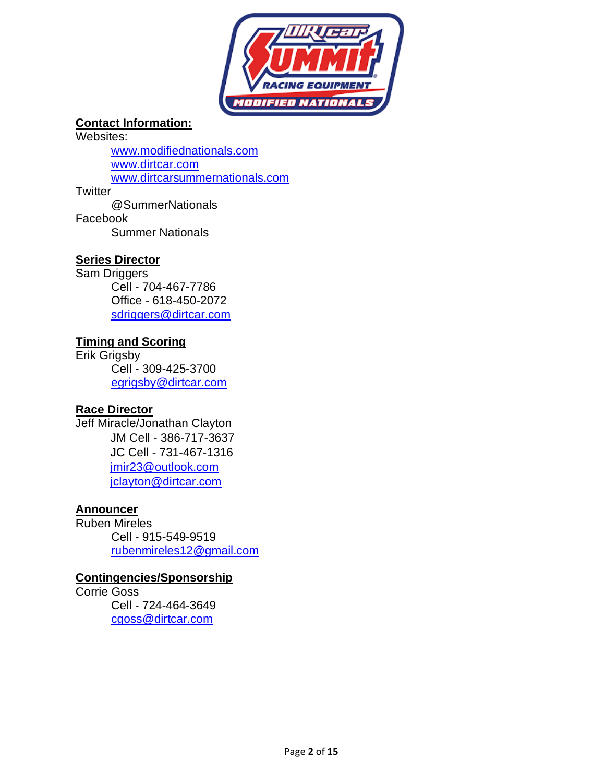

### **Contact Information:**

Websites:

[www.modifiednationals.com](http://www.modifiednationals.com/) [www.dirtcar.com](http://www.dirtcar.com/) [www.dirtcarsummernationals.com](http://www.dirtcarsummernationals.com/)

**Twitter** 

@SummerNationals Facebook Summer Nationals

### **Series Director**

Sam Driggers Cell - 704-467-7786 Office - 618-450-2072 [sdriggers@dirtcar.com](mailto:sdriggers@dirtcar.com)

### **Timing and Scoring**

Erik Grigsby Cell - 309-425-3700 [egrigsby@dirtcar.com](mailto:egrigsby@dirtcar.com)

### **Race Director**

Jeff Miracle/Jonathan Clayton JM Cell - 386-717-3637 JC Cell - 731-467-1316 jmir23@outlook.com [jclayton@dirtcar.com](mailto:jclayton@dirtcar.com)

### **Announcer**

Ruben Mireles Cell - 915-549-9519 [rubenmireles12@gmail.com](mailto:rubenmireles12@gmail.com)

### **Contingencies/Sponsorship**

Corrie Goss Cell - 724-464-3649 [cgoss@dirtcar.com](mailto:cgoss@dirtcar.com)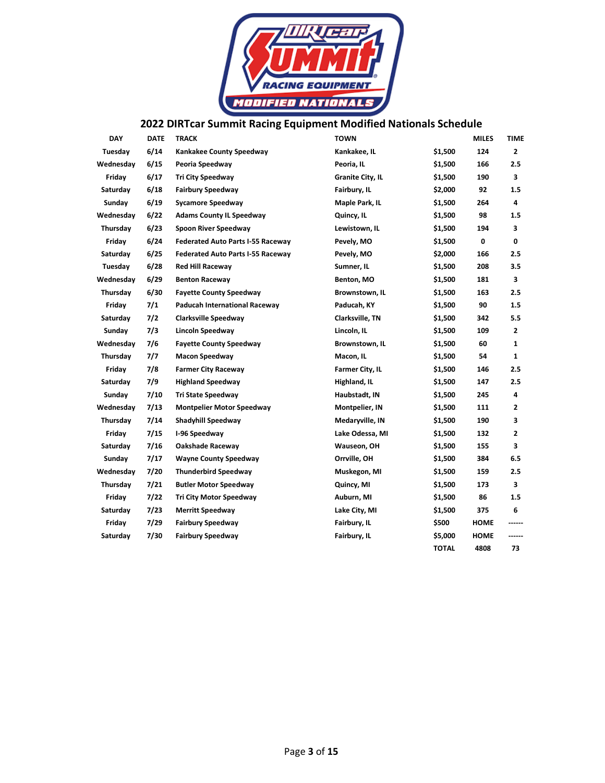

# **2022 DIRTcar Summit Racing Equipment Modified Nationals Schedule**

| <b>DAY</b> | <b>DATE</b> | <b>TRACK</b>                             | <b>TOWN</b>      |              | <b>MILES</b> | TIME   |
|------------|-------------|------------------------------------------|------------------|--------------|--------------|--------|
| Tuesday    | 6/14        | <b>Kankakee County Speedway</b>          | Kankakee, IL     | \$1,500      | 124          | 2      |
| Wednesday  | 6/15        | Peoria Speedway                          | Peoria, IL       | \$1,500      | 166          | 2.5    |
| Friday     | 6/17        | <b>Tri City Speedway</b>                 | Granite City, IL | \$1,500      | 190          | 3      |
| Saturday   | 6/18        | <b>Fairbury Speedway</b>                 | Fairbury, IL     | \$2,000      | 92           | 1.5    |
| Sunday     | 6/19        | <b>Sycamore Speedway</b>                 | Maple Park, IL   | \$1,500      | 264          | 4      |
| Wednesday  | 6/22        | <b>Adams County IL Speedway</b>          | Quincy, IL       | \$1,500      | 98           | 1.5    |
| Thursday   | 6/23        | Spoon River Speedway                     | Lewistown, IL    | \$1,500      | 194          | 3      |
| Friday     | 6/24        | <b>Federated Auto Parts I-55 Raceway</b> | Pevely, MO       | \$1,500      | 0            | 0      |
| Saturday   | 6/25        | <b>Federated Auto Parts I-55 Raceway</b> | Pevely, MO       | \$2,000      | 166          | 2.5    |
| Tuesday    | 6/28        | <b>Red Hill Raceway</b>                  | Sumner, IL       | \$1,500      | 208          | 3.5    |
| Wednesday  | 6/29        | <b>Benton Raceway</b>                    | Benton, MO       | \$1,500      | 181          | 3      |
| Thursday   | 6/30        | <b>Fayette County Speedway</b>           | Brownstown, IL   | \$1,500      | 163          | 2.5    |
| Friday     | 7/1         | Paducah International Raceway            | Paducah, KY      | \$1,500      | 90           | 1.5    |
| Saturday   | 7/2         | <b>Clarksville Speedway</b>              | Clarksville, TN  | \$1,500      | 342          | 5.5    |
| Sunday     | 7/3         | Lincoln Speedway                         | Lincoln, IL      | \$1,500      | 109          | 2      |
| Wednesday  | 7/6         | <b>Fayette County Speedway</b>           | Brownstown, IL   | \$1,500      | 60           | 1      |
| Thursday   | 7/7         | <b>Macon Speedway</b>                    | Macon, IL        | \$1,500      | 54           | 1      |
| Friday     | 7/8         | <b>Farmer City Raceway</b>               | Farmer City, IL  | \$1,500      | 146          | 2.5    |
| Saturday   | 7/9         | <b>Highland Speedway</b>                 | Highland, IL     | \$1,500      | 147          | 2.5    |
| Sunday     | 7/10        | <b>Tri State Speedway</b>                | Haubstadt, IN    | \$1,500      | 245          | 4      |
| Wednesday  | 7/13        | <b>Montpelier Motor Speedway</b>         | Montpelier, IN   | \$1,500      | 111          | 2      |
| Thursday   | 7/14        | Shadyhill Speedway                       | Medaryville, IN  | \$1,500      | 190          | 3      |
| Friday     | 7/15        | I-96 Speedway                            | Lake Odessa, MI  | \$1,500      | 132          | 2      |
| Saturday   | 7/16        | Oakshade Raceway                         | Wauseon, OH      | \$1,500      | 155          | 3      |
| Sunday     | 7/17        | <b>Wayne County Speedway</b>             | Orrville, OH     | \$1,500      | 384          | 6.5    |
| Wednesday  | 7/20        | <b>Thunderbird Speedway</b>              | Muskegon, MI     | \$1,500      | 159          | 2.5    |
| Thursday   | 7/21        | <b>Butler Motor Speedway</b>             | Quincy, MI       | \$1,500      | 173          | 3      |
| Friday     | 7/22        | <b>Tri City Motor Speedway</b>           | Auburn, MI       | \$1,500      | 86           | 1.5    |
| Saturday   | 7/23        | <b>Merritt Speedway</b>                  | Lake City, MI    | \$1,500      | 375          | 6      |
| Friday     | 7/29        | <b>Fairbury Speedway</b>                 | Fairbury, IL     | \$500        | HOME         | ------ |
| Saturday   | 7/30        | <b>Fairbury Speedway</b>                 | Fairbury, IL     | \$5,000      | HOME         | ------ |
|            |             |                                          |                  | <b>TOTAL</b> | 4808         | 73     |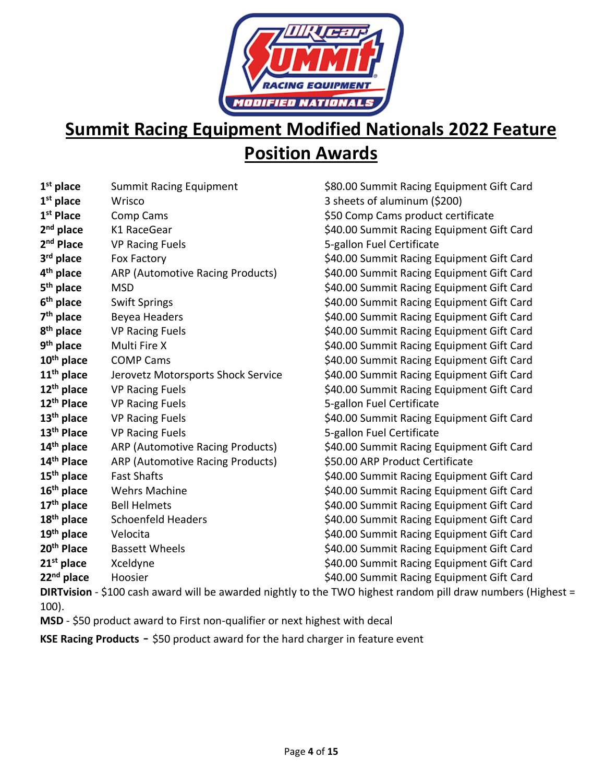

# **Summit Racing Equipment Modified Nationals 2022 Feature Position Awards**

| $1st$ place            | <b>Summit Racing Equipment</b>          |
|------------------------|-----------------------------------------|
| $1st$ place            | Wrisco                                  |
| 1 <sup>st</sup> Place  | Comp Cams                               |
| 2 <sup>nd</sup> place  | K1 RaceGear                             |
| 2 <sup>nd</sup> Place  | <b>VP Racing Fuels</b>                  |
| 3 <sup>rd</sup> place  | <b>Fox Factory</b>                      |
| 4 <sup>th</sup> place  | ARP (Automotive Racing Products)        |
| 5 <sup>th</sup> place  | <b>MSD</b>                              |
| 6 <sup>th</sup> place  | <b>Swift Springs</b>                    |
| 7 <sup>th</sup> place  | Beyea Headers                           |
| 8 <sup>th</sup> place  | <b>VP Racing Fuels</b>                  |
| 9 <sup>th</sup> place  | Multi Fire X                            |
| $10th$ place           | <b>COMP Cams</b>                        |
| $11th$ place           | Jerovetz Motorsports Shock Service      |
| 12 <sup>th</sup> place | <b>VP Racing Fuels</b>                  |
| 12 <sup>th</sup> Place | <b>VP Racing Fuels</b>                  |
| $13th$ place           | <b>VP Racing Fuels</b>                  |
| 13 <sup>th</sup> Place | <b>VP Racing Fuels</b>                  |
| 14 <sup>th</sup> place | ARP (Automotive Racing Products)        |
| 14 <sup>th</sup> Place | <b>ARP (Automotive Racing Products)</b> |
| 15 <sup>th</sup> place | <b>Fast Shafts</b>                      |
| 16 <sup>th</sup> place | <b>Wehrs Machine</b>                    |
| 17 <sup>th</sup> place | <b>Bell Helmets</b>                     |
| $18th$ place           | <b>Schoenfeld Headers</b>               |
| 19 <sup>th</sup> place | Velocita                                |
| 20 <sup>th</sup> Place | <b>Bassett Wheels</b>                   |
| $21st$ place           | Xceldyne                                |
| 22 <sup>nd</sup> place | Hoosier                                 |

\$80.00 Summit Racing Equipment Gift Card **3 sheets of aluminum (\$200)** \$50 Comp Cams product certificate \$40.00 Summit Racing Equipment Gift Card **5-gallon Fuel Certificate** \$40.00 Summit Racing Equipment Gift Card \$40.00 Summit Racing Equipment Gift Card \$40.00 Summit Racing Equipment Gift Card \$40.00 Summit Racing Equipment Gift Card \$40.00 Summit Racing Equipment Gift Card \$40.00 Summit Racing Equipment Gift Card \$40.00 Summit Racing Equipment Gift Card \$40.00 Summit Racing Equipment Gift Card \$40.00 Summit Racing Equipment Gift Card \$40.00 Summit Racing Equipment Gift Card **12th Place** VP Racing Fuels 5-gallon Fuel Certificate \$40.00 Summit Racing Equipment Gift Card **13th Place** VP Racing Fuels 5-gallon Fuel Certificate \$40.00 Summit Racing Equipment Gift Card **14 14 14 14 Product Certificate** \$40.00 Summit Racing Equipment Gift Card \$40.00 Summit Racing Equipment Gift Card \$40.00 Summit Racing Equipment Gift Card \$40.00 Summit Racing Equipment Gift Card \$40.00 Summit Racing Equipment Gift Card \$40.00 Summit Racing Equipment Gift Card **21st place** Xceldyne \$40.00 Summit Racing Equipment Gift Card \$40.00 Summit Racing Equipment Gift Card

**DIRTvision** - \$100 cash award will be awarded nightly to the TWO highest random pill draw numbers (Highest = 100).

**MSD** - \$50 product award to First non-qualifier or next highest with decal

**KSE Racing Products** - \$50 product award for the hard charger in feature event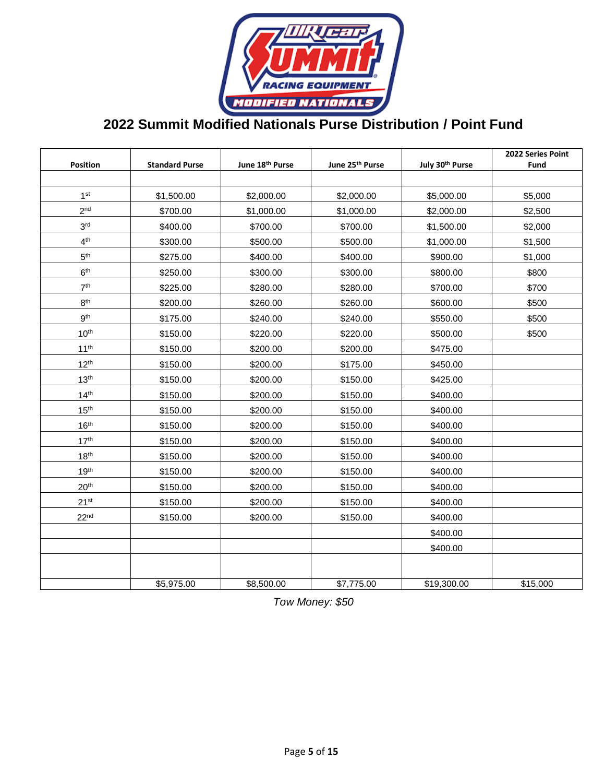

# **2022 Summit Modified Nationals Purse Distribution / Point Fund**

| Position         | <b>Standard Purse</b> | June 18th Purse | June 25th Purse | July 30th Purse | 2022 Series Point<br>Fund |
|------------------|-----------------------|-----------------|-----------------|-----------------|---------------------------|
|                  |                       |                 |                 |                 |                           |
| 1 <sup>st</sup>  | \$1,500.00            | \$2,000.00      | \$2,000.00      | \$5,000.00      | \$5,000                   |
| 2 <sup>nd</sup>  | \$700.00              | \$1,000.00      | \$1,000.00      | \$2,000.00      | \$2,500                   |
| 3 <sup>rd</sup>  | \$400.00              | \$700.00        | \$700.00        | \$1,500.00      | \$2,000                   |
| 4 <sup>th</sup>  | \$300.00              | \$500.00        | \$500.00        | \$1,000.00      | \$1,500                   |
| 5 <sup>th</sup>  | \$275.00              | \$400.00        | \$400.00        | \$900.00        | \$1,000                   |
| 6 <sup>th</sup>  |                       |                 |                 |                 |                           |
|                  | \$250.00              | \$300.00        | \$300.00        | \$800.00        | \$800                     |
| 7 <sup>th</sup>  | \$225.00              | \$280.00        | \$280.00        | \$700.00        | \$700                     |
| 8 <sup>th</sup>  | \$200.00              | \$260.00        | \$260.00        | \$600.00        | \$500                     |
| gth              | \$175.00              | \$240.00        | \$240.00        | \$550.00        | \$500                     |
| 10 <sup>th</sup> | \$150.00              | \$220.00        | \$220.00        | \$500.00        | \$500                     |
| 11 <sup>th</sup> | \$150.00              | \$200.00        | \$200.00        | \$475.00        |                           |
| $12^{th}$        | \$150.00              | \$200.00        | \$175.00        | \$450.00        |                           |
| 13 <sup>th</sup> | \$150.00              | \$200.00        | \$150.00        | \$425.00        |                           |
| 14 <sup>th</sup> | \$150.00              | \$200.00        | \$150.00        | \$400.00        |                           |
| 15 <sup>th</sup> | \$150.00              | \$200.00        | \$150.00        | \$400.00        |                           |
| 16 <sup>th</sup> | \$150.00              | \$200.00        | \$150.00        | \$400.00        |                           |
| 17 <sup>th</sup> | \$150.00              | \$200.00        | \$150.00        | \$400.00        |                           |
| 18 <sup>th</sup> | \$150.00              | \$200.00        | \$150.00        | \$400.00        |                           |
| 19 <sup>th</sup> | \$150.00              | \$200.00        | \$150.00        | \$400.00        |                           |
| 20 <sup>th</sup> | \$150.00              | \$200.00        | \$150.00        | \$400.00        |                           |
| 21 <sup>st</sup> | \$150.00              | \$200.00        | \$150.00        | \$400.00        |                           |
| 22 <sup>nd</sup> | \$150.00              | \$200.00        | \$150.00        | \$400.00        |                           |
|                  |                       |                 |                 | \$400.00        |                           |
|                  |                       |                 |                 | \$400.00        |                           |
|                  |                       |                 |                 |                 |                           |
|                  | \$5,975.00            | \$8,500.00      | \$7,775.00      | \$19,300.00     | \$15,000                  |

*Tow Money: \$50*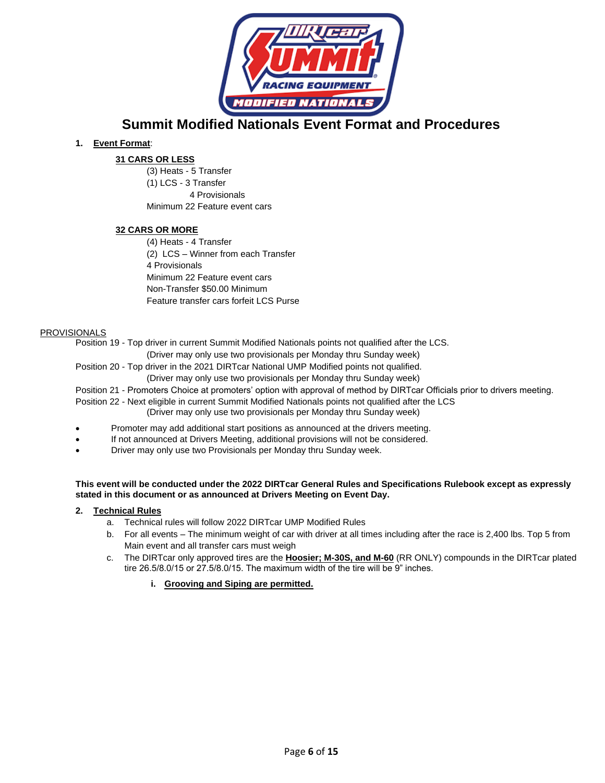

**Summit Modified Nationals Event Format and Procedures**

### **1. Event Format**:

### **31 CARS OR LESS**

(3) Heats - 5 Transfer (1) LCS - 3 Transfer 4 Provisionals Minimum 22 Feature event cars

### **32 CARS OR MORE**

(4) Heats - 4 Transfer (2) LCS – Winner from each Transfer 4 Provisionals Minimum 22 Feature event cars Non-Transfer \$50.00 Minimum Feature transfer cars forfeit LCS Purse

#### PROVISIONALS

Position 19 - Top driver in current Summit Modified Nationals points not qualified after the LCS.

(Driver may only use two provisionals per Monday thru Sunday week)

Position 20 - Top driver in the 2021 DIRTcar National UMP Modified points not qualified.

(Driver may only use two provisionals per Monday thru Sunday week)

Position 21 - Promoters Choice at promoters' option with approval of method by DIRTcar Officials prior to drivers meeting.

- Position 22 Next eligible in current Summit Modified Nationals points not qualified after the LCS (Driver may only use two provisionals per Monday thru Sunday week)
- Promoter may add additional start positions as announced at the drivers meeting.
- If not announced at Drivers Meeting, additional provisions will not be considered.
- Driver may only use two Provisionals per Monday thru Sunday week.

#### **This event will be conducted under the 2022 DIRTcar General Rules and Specifications Rulebook except as expressly stated in this document or as announced at Drivers Meeting on Event Day.**

#### **2. Technical Rules**

- a. Technical rules will follow 2022 DIRTcar UMP Modified Rules
- b. For all events The minimum weight of car with driver at all times including after the race is 2,400 lbs. Top 5 from Main event and all transfer cars must weigh
- c. The DIRTcar only approved tires are the **Hoosier; M-30S, and M-60** (RR ONLY) compounds in the DIRTcar plated tire 26.5/8.0/15 or 27.5/8.0/15. The maximum width of the tire will be 9" inches.
	- **i. Grooving and Siping are permitted.**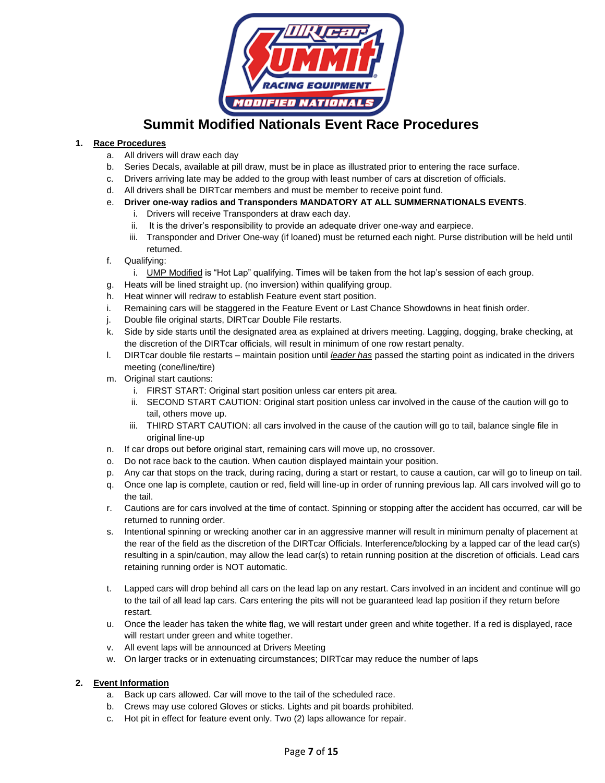

### **Summit Modified Nationals Event Race Procedures**

### **1. Race Procedures**

- a. All drivers will draw each day
- b. Series Decals, available at pill draw, must be in place as illustrated prior to entering the race surface.
- c. Drivers arriving late may be added to the group with least number of cars at discretion of officials.
- d. All drivers shall be DIRTcar members and must be member to receive point fund.
- e. **Driver one-way radios and Transponders MANDATORY AT ALL SUMMERNATIONALS EVENTS**.
	- i. Drivers will receive Transponders at draw each day.
	- ii. It is the driver's responsibility to provide an adequate driver one-way and earpiece.
	- iii. Transponder and Driver One-way (if loaned) must be returned each night. Purse distribution will be held until returned.
- f. Qualifying:
	- i. UMP Modified is "Hot Lap" qualifying. Times will be taken from the hot lap's session of each group.
- g. Heats will be lined straight up. (no inversion) within qualifying group.
- h. Heat winner will redraw to establish Feature event start position.
- i. Remaining cars will be staggered in the Feature Event or Last Chance Showdowns in heat finish order.
- j. Double file original starts, DIRTcar Double File restarts.
- k. Side by side starts until the designated area as explained at drivers meeting. Lagging, dogging, brake checking, at the discretion of the DIRTcar officials, will result in minimum of one row restart penalty.
- l. DIRTcar double file restarts maintain position until *leader has* passed the starting point as indicated in the drivers meeting (cone/line/tire)
- m. Original start cautions:
	- i. FIRST START: Original start position unless car enters pit area.
	- ii. SECOND START CAUTION: Original start position unless car involved in the cause of the caution will go to tail, others move up.
	- iii. THIRD START CAUTION: all cars involved in the cause of the caution will go to tail, balance single file in original line-up
- n. If car drops out before original start, remaining cars will move up, no crossover.
- o. Do not race back to the caution. When caution displayed maintain your position.
- p. Any car that stops on the track, during racing, during a start or restart, to cause a caution, car will go to lineup on tail.
- q. Once one lap is complete, caution or red, field will line-up in order of running previous lap. All cars involved will go to the tail.
- r. Cautions are for cars involved at the time of contact. Spinning or stopping after the accident has occurred, car will be returned to running order.
- s. Intentional spinning or wrecking another car in an aggressive manner will result in minimum penalty of placement at the rear of the field as the discretion of the DIRTcar Officials. Interference/blocking by a lapped car of the lead car(s) resulting in a spin/caution, may allow the lead car(s) to retain running position at the discretion of officials. Lead cars retaining running order is NOT automatic.
- t. Lapped cars will drop behind all cars on the lead lap on any restart. Cars involved in an incident and continue will go to the tail of all lead lap cars. Cars entering the pits will not be guaranteed lead lap position if they return before restart.
- u. Once the leader has taken the white flag, we will restart under green and white together. If a red is displayed, race will restart under green and white together.
- v. All event laps will be announced at Drivers Meeting
- w. On larger tracks or in extenuating circumstances; DIRTcar may reduce the number of laps

### **2. Event Information**

- a. Back up cars allowed. Car will move to the tail of the scheduled race.
- b. Crews may use colored Gloves or sticks. Lights and pit boards prohibited.
- c. Hot pit in effect for feature event only. Two (2) laps allowance for repair.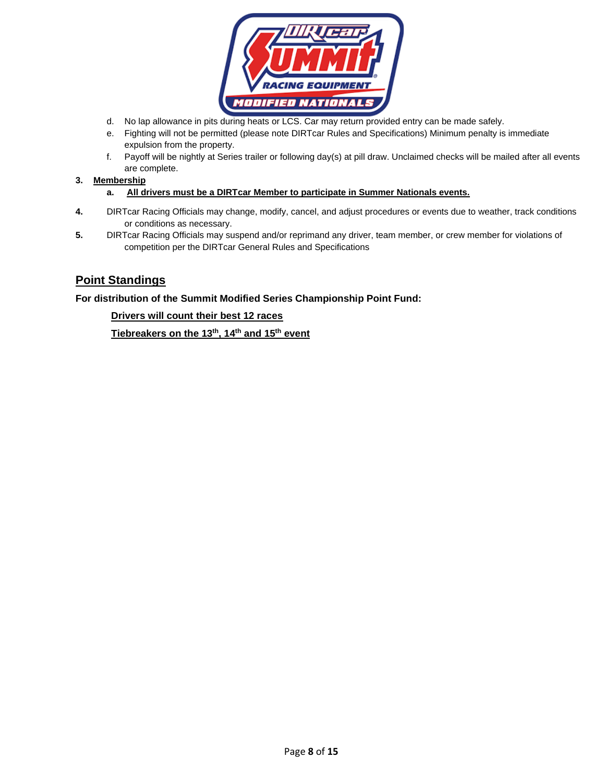

- d. No lap allowance in pits during heats or LCS. Car may return provided entry can be made safely.
- e. Fighting will not be permitted (please note DIRTcar Rules and Specifications) Minimum penalty is immediate expulsion from the property.
- f. Payoff will be nightly at Series trailer or following day(s) at pill draw. Unclaimed checks will be mailed after all events are complete.

#### **3. Membership**

- **a. All drivers must be a DIRTcar Member to participate in Summer Nationals events.**
- **4.** DIRTcar Racing Officials may change, modify, cancel, and adjust procedures or events due to weather, track conditions or conditions as necessary.
- **5.** DIRTcar Racing Officials may suspend and/or reprimand any driver, team member, or crew member for violations of competition per the DIRTcar General Rules and Specifications

### **Point Standings**

### **For distribution of the Summit Modified Series Championship Point Fund:**

### **Drivers will count their best 12 races**

**Tiebreakers on the 13 th, 14 th and 15 th event**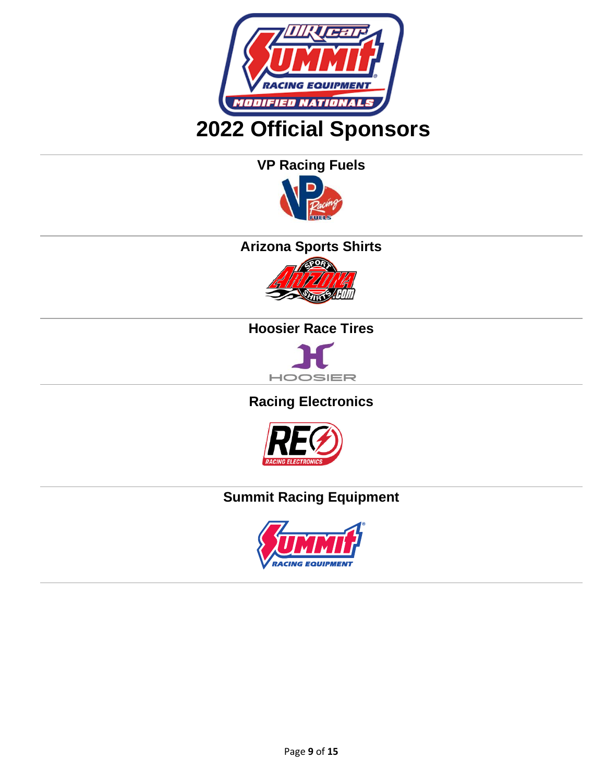

**VP Racing Fuels** 



# **Arizona Sports Shirts**



# **Hoosier Race Tires**



# **Racing Electronics**



# **Summit Racing Equipment**

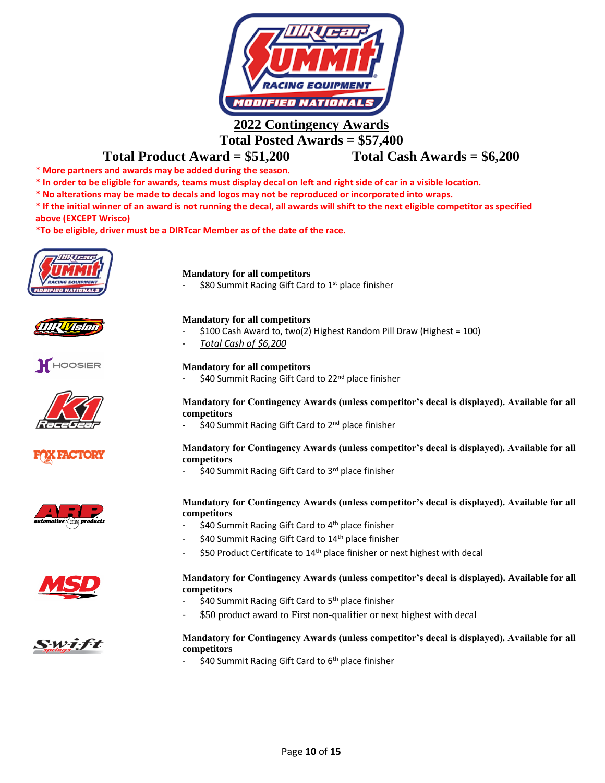

### **Total Posted Awards = \$57,400**

### **Total Product Award = \$51,200 Total Cash Awards = \$6,200**

- \* **More partners and awards may be added during the season.**
- **\* In order to be eligible for awards, teams must display decal on left and right side of car in a visible location.**
- **\* No alterations may be made to decals and logos may not be reproduced or incorporated into wraps.**
- **\* If the initial winner of an award is not running the decal, all awards will shift to the next eligible competitor as specified**

**above (EXCEPT Wrisco)**

**\*To be eligible, driver must be a DIRTcar Member as of the date of the race.**

















### **Mandatory for all competitors**

\$80 Summit Racing Gift Card to  $1<sup>st</sup>$  place finisher

#### **Mandatory for all competitors**

- \$100 Cash Award to, two(2) Highest Random Pill Draw (Highest = 100)
- *Total Cash of \$6,200*

#### **Mandatory for all competitors**

\$40 Summit Racing Gift Card to 22<sup>nd</sup> place finisher

### **Mandatory for Contingency Awards (unless competitor's decal is displayed). Available for all competitors**

\$40 Summit Racing Gift Card to 2<sup>nd</sup> place finisher

#### **Mandatory for Contingency Awards (unless competitor's decal is displayed). Available for all competitors**

\$40 Summit Racing Gift Card to 3rd place finisher

#### **Mandatory for Contingency Awards (unless competitor's decal is displayed). Available for all competitors**

- \$40 Summit Racing Gift Card to 4<sup>th</sup> place finisher
- \$40 Summit Racing Gift Card to 14<sup>th</sup> place finisher
- \$50 Product Certificate to 14<sup>th</sup> place finisher or next highest with decal

### **Mandatory for Contingency Awards (unless competitor's decal is displayed). Available for all competitors**

- \$40 Summit Racing Gift Card to 5<sup>th</sup> place finisher
- \$50 product award to First non-qualifier or next highest with decal

### **Mandatory for Contingency Awards (unless competitor's decal is displayed). Available for all competitors**

\$40 Summit Racing Gift Card to 6<sup>th</sup> place finisher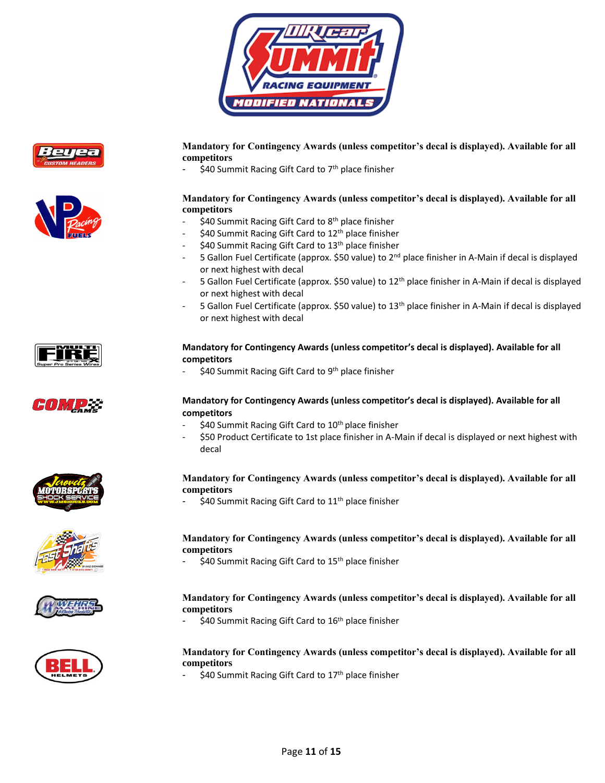





**Mandatory for Contingency Awards (unless competitor's decal is displayed). Available for all competitors** 

\$40 Summit Racing Gift Card to 7<sup>th</sup> place finisher

### **Mandatory for Contingency Awards (unless competitor's decal is displayed). Available for all competitors**

- \$40 Summit Racing Gift Card to  $8<sup>th</sup>$  place finisher
- \$40 Summit Racing Gift Card to 12<sup>th</sup> place finisher
- \$40 Summit Racing Gift Card to 13<sup>th</sup> place finisher
- 5 Gallon Fuel Certificate (approx. \$50 value) to 2<sup>nd</sup> place finisher in A-Main if decal is displayed or next highest with decal
- 5 Gallon Fuel Certificate (approx. \$50 value) to 12<sup>th</sup> place finisher in A-Main if decal is displayed or next highest with decal
- 5 Gallon Fuel Certificate (approx. \$50 value) to 13<sup>th</sup> place finisher in A-Main if decal is displayed or next highest with decal



### **Mandatory for Contingency Awards (unless competitor's decal is displayed). Available for all competitors**

- \$40 Summit Racing Gift Card to 9<sup>th</sup> place finisher

### **Mandatory for Contingency Awards (unless competitor's decal is displayed). Available for all competitors**

- \$40 Summit Racing Gift Card to 10<sup>th</sup> place finisher
- \$50 Product Certificate to 1st place finisher in A-Main if decal is displayed or next highest with decal

### **Mandatory for Contingency Awards (unless competitor's decal is displayed). Available for all competitors**

\$40 Summit Racing Gift Card to 11<sup>th</sup> place finisher

### **Mandatory for Contingency Awards (unless competitor's decal is displayed). Available for all competitors**

\$40 Summit Racing Gift Card to 15<sup>th</sup> place finisher





\$40 Summit Racing Gift Card to 16<sup>th</sup> place finisher



#### **Mandatory for Contingency Awards (unless competitor's decal is displayed). Available for all competitors**

\$40 Summit Racing Gift Card to 17<sup>th</sup> place finisher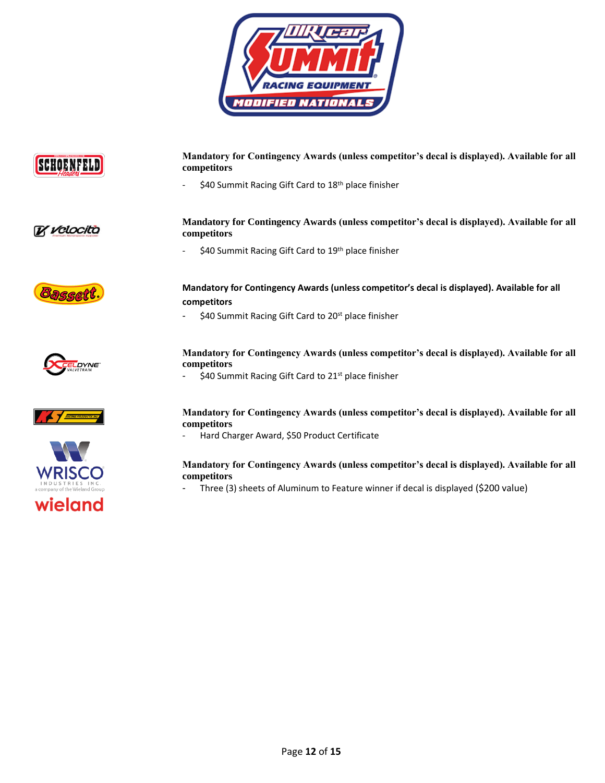



**Mandatory for Contingency Awards (unless competitor's decal is displayed). Available for all competitors** 

\$40 Summit Racing Gift Card to 18<sup>th</sup> place finisher



**Mandatory for Contingency Awards (unless competitor's decal is displayed). Available for all competitors** 

<sup>-</sup> \$40 Summit Racing Gift Card to 19<sup>th</sup> place finisher



### **Mandatory for Contingency Awards (unless competitor's decal is displayed). Available for all competitors**

- \$40 Summit Racing Gift Card to 20<sup>st</sup> place finisher



### **Mandatory for Contingency Awards (unless competitor's decal is displayed). Available for all competitors**

\$40 Summit Racing Gift Card to 21<sup>st</sup> place finisher





**Mandatory for Contingency Awards (unless competitor's decal is displayed). Available for all competitors** 

Hard Charger Award, \$50 Product Certificate

### **Mandatory for Contingency Awards (unless competitor's decal is displayed). Available for all competitors**

Three (3) sheets of Aluminum to Feature winner if decal is displayed (\$200 value)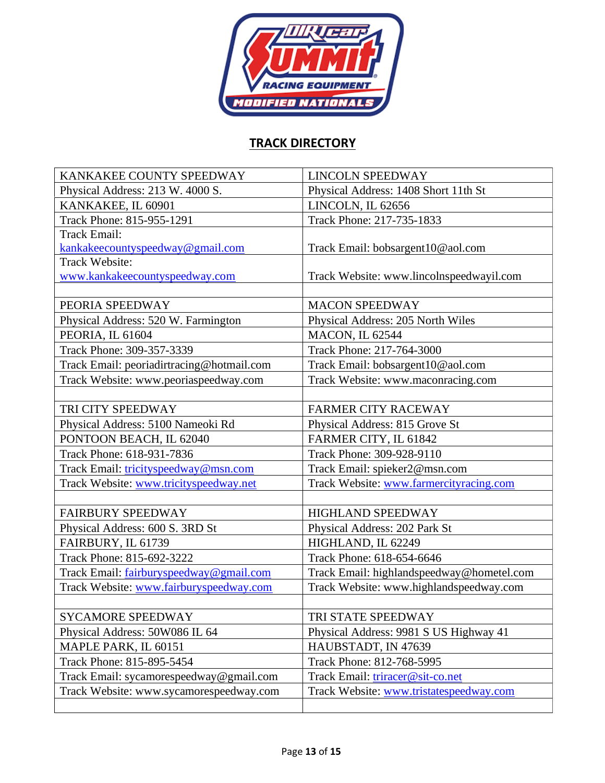

# **TRACK DIRECTORY**

| KANKAKEE COUNTY SPEEDWAY                  | <b>LINCOLN SPEEDWAY</b>                   |
|-------------------------------------------|-------------------------------------------|
| Physical Address: 213 W. 4000 S.          | Physical Address: 1408 Short 11th St      |
| KANKAKEE, IL 60901                        | LINCOLN, IL 62656                         |
| Track Phone: 815-955-1291                 | Track Phone: 217-735-1833                 |
| <b>Track Email:</b>                       |                                           |
| kankakeecountyspeedway@gmail.com          | Track Email: bobsargent10@aol.com         |
| Track Website:                            |                                           |
| www.kankakeecountyspeedway.com            | Track Website: www.lincolnspeedwayil.com  |
|                                           |                                           |
| PEORIA SPEEDWAY                           | <b>MACON SPEEDWAY</b>                     |
| Physical Address: 520 W. Farmington       | Physical Address: 205 North Wiles         |
| PEORIA, IL 61604                          | <b>MACON, IL 62544</b>                    |
| Track Phone: 309-357-3339                 | Track Phone: 217-764-3000                 |
| Track Email: peoriadirtracing@hotmail.com | Track Email: bobsargent10@aol.com         |
| Track Website: www.peoriaspeedway.com     | Track Website: www.maconracing.com        |
|                                           |                                           |
| TRI CITY SPEEDWAY                         | <b>FARMER CITY RACEWAY</b>                |
| Physical Address: 5100 Nameoki Rd         | Physical Address: 815 Grove St            |
| PONTOON BEACH, IL 62040                   | FARMER CITY, IL 61842                     |
| Track Phone: 618-931-7836                 | Track Phone: 309-928-9110                 |
| Track Email: tricityspeedway@msn.com      | Track Email: spieker2@msn.com             |
| Track Website: www.tricityspeedway.net    | Track Website: www.farmercityracing.com   |
|                                           |                                           |
| <b>FAIRBURY SPEEDWAY</b>                  | <b>HIGHLAND SPEEDWAY</b>                  |
| Physical Address: 600 S. 3RD St           | Physical Address: 202 Park St             |
| FAIRBURY, IL 61739                        | HIGHLAND, IL 62249                        |
| Track Phone: 815-692-3222                 | Track Phone: 618-654-6646                 |
| Track Email: fairburyspeedway@gmail.com   | Track Email: highlandspeedway@hometel.com |
| Track Website: www.fairburyspeedway.com   | Track Website: www.highlandspeedway.com   |
|                                           |                                           |
| <b>SYCAMORE SPEEDWAY</b>                  | TRI STATE SPEEDWAY                        |
| Physical Address: 50W086 IL 64            | Physical Address: 9981 S US Highway 41    |
| MAPLE PARK, IL 60151                      | HAUBSTADT, IN 47639                       |
| Track Phone: 815-895-5454                 | Track Phone: 812-768-5995                 |
| Track Email: sycamorespeedway@gmail.com   | Track Email: triracer@sit-co.net          |
| Track Website: www.sycamorespeedway.com   | Track Website: www.tristatespeedway.com   |
|                                           |                                           |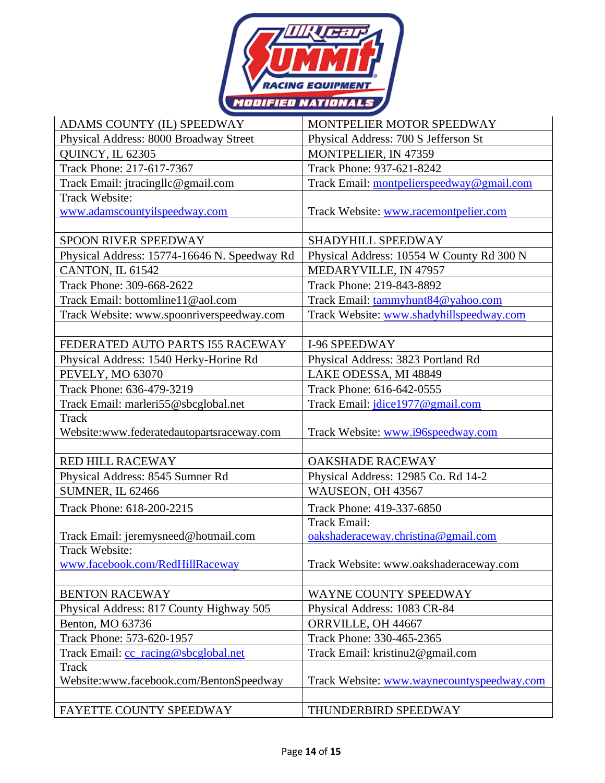

| ADAMS COUNTY (IL) SPEEDWAY                       | MONTPELIER MOTOR SPEEDWAY                  |
|--------------------------------------------------|--------------------------------------------|
| Physical Address: 8000 Broadway Street           | Physical Address: 700 S Jefferson St       |
| <b>QUINCY, IL 62305</b>                          | MONTPELIER, IN 47359                       |
| Track Phone: 217-617-7367                        | Track Phone: 937-621-8242                  |
| Track Email: jtracingllc@gmail.com               | Track Email: montpelierspeedway@gmail.com  |
| <b>Track Website:</b>                            |                                            |
| www.adamscountyilspeedway.com                    | Track Website: www.racemontpelier.com      |
|                                                  |                                            |
| SPOON RIVER SPEEDWAY                             | SHADYHILL SPEEDWAY                         |
| Physical Address: 15774-16646 N. Speedway Rd     | Physical Address: 10554 W County Rd 300 N  |
| CANTON, IL 61542                                 | MEDARYVILLE, IN 47957                      |
| Track Phone: 309-668-2622                        | Track Phone: 219-843-8892                  |
| Track Email: bottomline11@aol.com                | Track Email: tammyhunt84@yahoo.com         |
| Track Website: www.spoonriverspeedway.com        | Track Website: www.shadyhillspeedway.com   |
|                                                  |                                            |
| FEDERATED AUTO PARTS I55 RACEWAY                 | I-96 SPEEDWAY                              |
| Physical Address: 1540 Herky-Horine Rd           | Physical Address: 3823 Portland Rd         |
| PEVELY, MO 63070                                 | LAKE ODESSA, MI 48849                      |
| Track Phone: 636-479-3219                        | Track Phone: 616-642-0555                  |
| Track Email: marleri55@sbcglobal.net             | Track Email: <i>jdice1977@gmail.com</i>    |
| Track                                            |                                            |
| Website:www.federatedautopartsraceway.com        | Track Website: www.i96speedway.com         |
|                                                  |                                            |
| <b>RED HILL RACEWAY</b>                          | <b>OAKSHADE RACEWAY</b>                    |
| Physical Address: 8545 Sumner Rd                 | Physical Address: 12985 Co. Rd 14-2        |
| SUMNER, IL 62466                                 | WAUSEON, OH 43567                          |
| Track Phone: 618-200-2215                        | Track Phone: 419-337-6850                  |
|                                                  | <b>Track Email:</b>                        |
| Track Email: jeremysneed@hotmail.com             | oakshaderaceway.christina@gmail.com        |
| Track Website:                                   |                                            |
| www.facebook.com/RedHillRaceway                  | Track Website: www.oakshaderaceway.com     |
|                                                  |                                            |
| <b>BENTON RACEWAY</b>                            | WAYNE COUNTY SPEEDWAY                      |
| Physical Address: 817 County Highway 505         | Physical Address: 1083 CR-84               |
| Benton, MO 63736                                 | ORRVILLE, OH 44667                         |
| Track Phone: 573-620-1957                        | Track Phone: 330-465-2365                  |
| Track Email: cc_racing@sbcglobal.net             | Track Email: kristinu2@gmail.com           |
| Track<br>Website:www.facebook.com/BentonSpeedway | Track Website: www.waynecountyspeedway.com |
|                                                  |                                            |
| FAYETTE COUNTY SPEEDWAY                          | THUNDERBIRD SPEEDWAY                       |